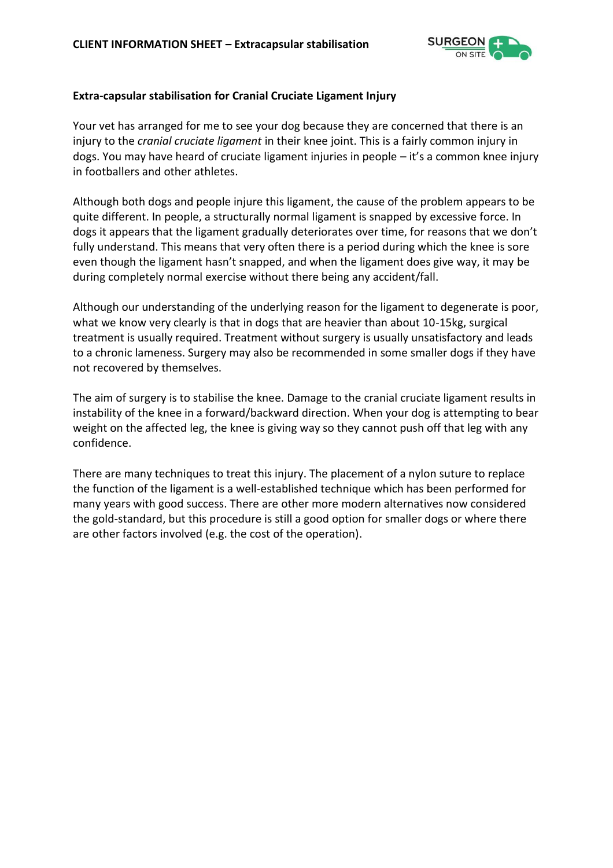

## **Extra-capsular stabilisation for Cranial Cruciate Ligament Injury**

Your vet has arranged for me to see your dog because they are concerned that there is an injury to the *cranial cruciate ligament* in their knee joint. This is a fairly common injury in dogs. You may have heard of cruciate ligament injuries in people – it's a common knee injury in footballers and other athletes.

Although both dogs and people injure this ligament, the cause of the problem appears to be quite different. In people, a structurally normal ligament is snapped by excessive force. In dogs it appears that the ligament gradually deteriorates over time, for reasons that we don't fully understand. This means that very often there is a period during which the knee is sore even though the ligament hasn't snapped, and when the ligament does give way, it may be during completely normal exercise without there being any accident/fall.

Although our understanding of the underlying reason for the ligament to degenerate is poor, what we know very clearly is that in dogs that are heavier than about 10-15kg, surgical treatment is usually required. Treatment without surgery is usually unsatisfactory and leads to a chronic lameness. Surgery may also be recommended in some smaller dogs if they have not recovered by themselves.

The aim of surgery is to stabilise the knee. Damage to the cranial cruciate ligament results in instability of the knee in a forward/backward direction. When your dog is attempting to bear weight on the affected leg, the knee is giving way so they cannot push off that leg with any confidence.

There are many techniques to treat this injury. The placement of a nylon suture to replace the function of the ligament is a well-established technique which has been performed for many years with good success. There are other more modern alternatives now considered the gold-standard, but this procedure is still a good option for smaller dogs or where there are other factors involved (e.g. the cost of the operation).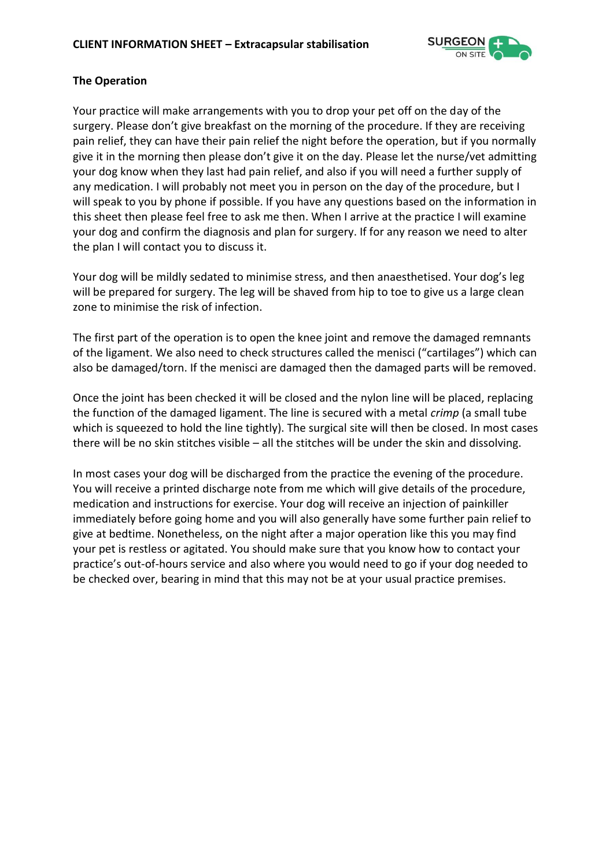

## **The Operation**

Your practice will make arrangements with you to drop your pet off on the day of the surgery. Please don't give breakfast on the morning of the procedure. If they are receiving pain relief, they can have their pain relief the night before the operation, but if you normally give it in the morning then please don't give it on the day. Please let the nurse/vet admitting your dog know when they last had pain relief, and also if you will need a further supply of any medication. I will probably not meet you in person on the day of the procedure, but I will speak to you by phone if possible. If you have any questions based on the information in this sheet then please feel free to ask me then. When I arrive at the practice I will examine your dog and confirm the diagnosis and plan for surgery. If for any reason we need to alter the plan I will contact you to discuss it.

Your dog will be mildly sedated to minimise stress, and then anaesthetised. Your dog's leg will be prepared for surgery. The leg will be shaved from hip to toe to give us a large clean zone to minimise the risk of infection.

The first part of the operation is to open the knee joint and remove the damaged remnants of the ligament. We also need to check structures called the menisci ("cartilages") which can also be damaged/torn. If the menisci are damaged then the damaged parts will be removed.

Once the joint has been checked it will be closed and the nylon line will be placed, replacing the function of the damaged ligament. The line is secured with a metal *crimp* (a small tube which is squeezed to hold the line tightly). The surgical site will then be closed. In most cases there will be no skin stitches visible – all the stitches will be under the skin and dissolving.

In most cases your dog will be discharged from the practice the evening of the procedure. You will receive a printed discharge note from me which will give details of the procedure, medication and instructions for exercise. Your dog will receive an injection of painkiller immediately before going home and you will also generally have some further pain relief to give at bedtime. Nonetheless, on the night after a major operation like this you may find your pet is restless or agitated. You should make sure that you know how to contact your practice's out-of-hours service and also where you would need to go if your dog needed to be checked over, bearing in mind that this may not be at your usual practice premises.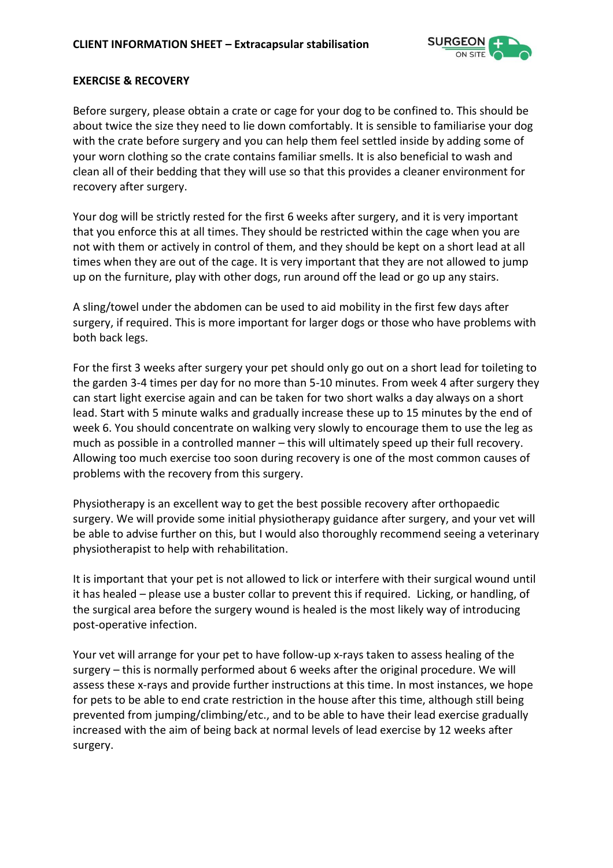

#### **EXERCISE & RECOVERY**

Before surgery, please obtain a crate or cage for your dog to be confined to. This should be about twice the size they need to lie down comfortably. It is sensible to familiarise your dog with the crate before surgery and you can help them feel settled inside by adding some of your worn clothing so the crate contains familiar smells. It is also beneficial to wash and clean all of their bedding that they will use so that this provides a cleaner environment for recovery after surgery.

Your dog will be strictly rested for the first 6 weeks after surgery, and it is very important that you enforce this at all times. They should be restricted within the cage when you are not with them or actively in control of them, and they should be kept on a short lead at all times when they are out of the cage. It is very important that they are not allowed to jump up on the furniture, play with other dogs, run around off the lead or go up any stairs.

A sling/towel under the abdomen can be used to aid mobility in the first few days after surgery, if required. This is more important for larger dogs or those who have problems with both back legs.

For the first 3 weeks after surgery your pet should only go out on a short lead for toileting to the garden 3-4 times per day for no more than 5-10 minutes. From week 4 after surgery they can start light exercise again and can be taken for two short walks a day always on a short lead. Start with 5 minute walks and gradually increase these up to 15 minutes by the end of week 6. You should concentrate on walking very slowly to encourage them to use the leg as much as possible in a controlled manner – this will ultimately speed up their full recovery. Allowing too much exercise too soon during recovery is one of the most common causes of problems with the recovery from this surgery.

Physiotherapy is an excellent way to get the best possible recovery after orthopaedic surgery. We will provide some initial physiotherapy guidance after surgery, and your vet will be able to advise further on this, but I would also thoroughly recommend seeing a veterinary physiotherapist to help with rehabilitation.

It is important that your pet is not allowed to lick or interfere with their surgical wound until it has healed – please use a buster collar to prevent this if required. Licking, or handling, of the surgical area before the surgery wound is healed is the most likely way of introducing post-operative infection.

Your vet will arrange for your pet to have follow-up x-rays taken to assess healing of the surgery – this is normally performed about 6 weeks after the original procedure. We will assess these x-rays and provide further instructions at this time. In most instances, we hope for pets to be able to end crate restriction in the house after this time, although still being prevented from jumping/climbing/etc., and to be able to have their lead exercise gradually increased with the aim of being back at normal levels of lead exercise by 12 weeks after surgery.